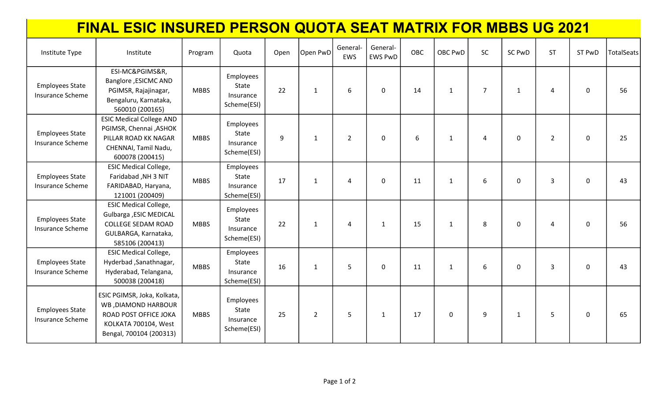## FINAL ESIC INSURED PERSON QUOTA SEAT MATRIX FOR MBBS UG 2021

| Institute Type                                    | Institute                                                                                                                       | Program     | Quota                                          | Open | Open PwD       | General<br>EWS | General-<br><b>EWS PwD</b> | OBC | OBC PwD      | <b>SC</b>      | <b>SC PwD</b> | <b>ST</b>      | ST PwD      | <b>TotalSeats</b> |
|---------------------------------------------------|---------------------------------------------------------------------------------------------------------------------------------|-------------|------------------------------------------------|------|----------------|----------------|----------------------------|-----|--------------|----------------|---------------|----------------|-------------|-------------------|
| <b>Employees State</b><br><b>Insurance Scheme</b> | ESI-MC&PGIMS&R,<br>Banglore , ESICMC AND<br>PGIMSR, Rajajinagar,<br>Bengaluru, Karnataka,<br>560010 (200165)                    | <b>MBBS</b> | Employees<br>State<br>Insurance<br>Scheme(ESI) | 22   | $\mathbf{1}$   | 6              | $\mathbf 0$                | 14  | $\mathbf{1}$ | $\overline{7}$ | $\mathbf{1}$  | 4              | $\mathbf 0$ | 56                |
| <b>Employees State</b><br>Insurance Scheme        | <b>ESIC Medical College AND</b><br>PGIMSR, Chennai , ASHOK<br>PILLAR ROAD KK NAGAR<br>CHENNAI, Tamil Nadu,<br>600078 (200415)   | <b>MBBS</b> | Employees<br>State<br>Insurance<br>Scheme(ESI) | 9    | $\mathbf{1}$   | $\overline{2}$ | $\mathbf 0$                | 6   | $\mathbf{1}$ | 4              | $\mathbf 0$   | $\overline{2}$ | $\mathbf 0$ | 25                |
| <b>Employees State</b><br>Insurance Scheme        | <b>ESIC Medical College,</b><br>Faridabad, NH 3 NIT<br>FARIDABAD, Haryana,<br>121001 (200409)                                   | <b>MBBS</b> | Employees<br>State<br>Insurance<br>Scheme(ESI) | 17   | $\mathbf{1}$   | 4              | $\mathbf 0$                | 11  | $\mathbf{1}$ | 6              | 0             | 3              | 0           | 43                |
| <b>Employees State</b><br><b>Insurance Scheme</b> | <b>ESIC Medical College,</b><br>Gulbarga , ESIC MEDICAL<br><b>COLLEGE SEDAM ROAD</b><br>GULBARGA, Karnataka,<br>585106 (200413) | <b>MBBS</b> | Employees<br>State<br>Insurance<br>Scheme(ESI) | 22   | $\mathbf{1}$   | 4              | $\mathbf{1}$               | 15  | $\mathbf{1}$ | 8              | $\mathbf 0$   | 4              | 0           | 56                |
| <b>Employees State</b><br>Insurance Scheme        | <b>ESIC Medical College,</b><br>Hyderbad, Sanathnagar,<br>Hyderabad, Telangana,<br>500038 (200418)                              | <b>MBBS</b> | Employees<br>State<br>Insurance<br>Scheme(ESI) | 16   | $\mathbf{1}$   | 5              | $\mathbf 0$                | 11  | $\mathbf{1}$ | 6              | $\mathbf 0$   | 3              | $\mathbf 0$ | 43                |
| <b>Employees State</b><br><b>Insurance Scheme</b> | ESIC PGIMSR, Joka, Kolkata,<br>WB ,DIAMOND HARBOUR<br>ROAD POST OFFICE JOKA<br>KOLKATA 700104, West<br>Bengal, 700104 (200313)  | <b>MBBS</b> | Employees<br>State<br>Insurance<br>Scheme(ESI) | 25   | $\overline{2}$ | 5              | $\mathbf{1}$               | 17  | $\mathbf 0$  | 9              | 1             | 5              | $\mathbf 0$ | 65                |